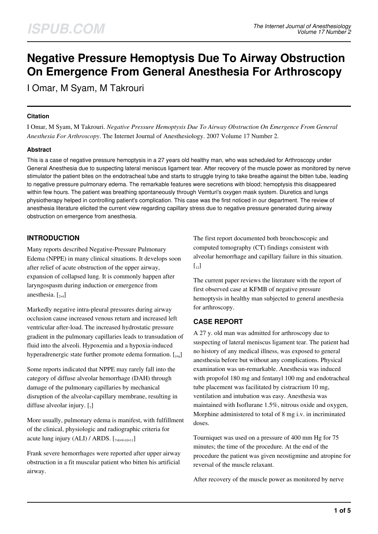# **Negative Pressure Hemoptysis Due To Airway Obstruction On Emergence From General Anesthesia For Arthroscopy**

I Omar, M Syam, M Takrouri

### **Citation**

I Omar, M Syam, M Takrouri. *Negative Pressure Hemoptysis Due To Airway Obstruction On Emergence From General Anesthesia For Arthroscopy*. The Internet Journal of Anesthesiology. 2007 Volume 17 Number 2.

### **Abstract**

This is a case of negative pressure hemoptysis in a 27 years old healthy man, who was scheduled for Arthroscopy under General Anesthesia due to suspecting lateral meniscus ligament tear. After recovery of the muscle power as monitored by nerve stimulator the patient bites on the endotracheal tube and starts to struggle trying to take breathe against the bitten tube, leading to negative pressure pulmonary edema. The remarkable features were secretions with blood; hemoptysis this disappeared within few hours. The patient was breathing spontaneously through Vemturi's oxygen mask system. Diuretics and lungs physiotherapy helped in controlling patient's complication. This case was the first noticed in our department. The review of anesthesia literature elicited the current view regarding capillary stress due to negative pressure generated during airway obstruction on emergence from anesthesia.

# **INTRODUCTION**

Many reports described Negative-Pressure Pulmonary Edema (NPPE) in many clinical situations. It develops soon after relief of acute obstruction of the upper airway, expansion of collapsed lung. It is commonly happen after laryngospasm during induction or emergence from anesthesia.  $\left[2, 4\right]$ 

Markedly negative intra-pleural pressures during airway occlusion cause increased venous return and increased left ventricular after-load. The increased hydrostatic pressure gradient in the pulmonary capillaries leads to transudation of fluid into the alveoli. Hypoxemia and a hypoxia-induced hyperadrenergic state further promote edema formation. [5,6]

Some reports indicated that NPPE may rarely fall into the category of diffuse alveolar hemorrhage (DAH) through damage of the pulmonary capillaries by mechanical disruption of the alveolar-capillary membrane, resulting in diffuse alveolar injury.  $\left[\begin{smallmatrix}7\end{smallmatrix}\right]$ 

More usually, pulmonary edema is manifest, with fulfillment of the clinical, physiologic and radiographic criteria for acute lung injury  $(ALI) / ARDS$ .  $[\,7,8,9,10,11]$ 

Frank severe hemorrhages were reported after upper airway obstruction in a fit muscular patient who bitten his artificial airway.

The first report documented both bronchoscopic and computed tomography (CT) findings consistent with alveolar hemorrhage and capillary failure in this situation.  $\left[\begin{matrix}1\\1\\2\end{matrix}\right]$ 

The current paper reviews the literature with the report of first observed case at KFMB of negative pressure hemoptysis in healthy man subjected to general anesthesia for arthroscopy.

# **CASE REPORT**

A 27 y. old man was admitted for arthroscopy due to suspecting of lateral meniscus ligament tear. The patient had no history of any medical illness, was exposed to general anesthesia before but without any complications. Physical examination was un-remarkable. Anesthesia was induced with propofol 180 mg and fentanyl 100 mg and endotracheal tube placement was facilitated by cistracrium 10 mg, ventilation and intubation was easy. Anesthesia was maintained with Isoflurane 1.5%, nitrous oxide and oxygen, Morphine administered to total of 8 mg i.v. in incriminated doses.

Tourniquet was used on a pressure of 400 mm Hg for 75 minutes; the time of the procedure. At the end of the procedure the patient was given neostigmine and atropine for reversal of the muscle relaxant.

After recovery of the muscle power as monitored by nerve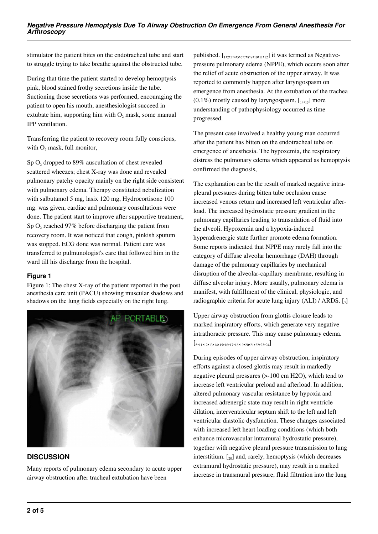stimulator the patient bites on the endotracheal tube and start to struggle trying to take breathe against the obstructed tube.

During that time the patient started to develop hemoptysis pink, blood stained frothy secretions inside the tube. Suctioning those secretions was performed, encouraging the patient to open his mouth, anesthesiologist succeed in extubate him, supporting him with  $O_2$  mask, some manual IPP ventilation.

Transferring the patient to recovery room fully conscious, with  $O_2$  mask, full monitor,

Sp  $O_2$  dropped to 89% auscultation of chest revealed scattered wheezes; chest X-ray was done and revealed pulmonary patchy opacity mainly on the right side consistent with pulmonary edema. Therapy constituted nebulization with salbutamol 5 mg, lasix 120 mg, Hydrocortisone 100 mg. was given, cardiac and pulmonary consultations were done. The patient start to improve after supportive treatment, Sp  $O_2$  reached 97% before discharging the patient from recovery room. It was noticed that cough, pinkish sputum was stopped. ECG done was normal. Patient care was transferred to pulmunologist's care that followed him in the ward till his discharge from the hospital.

### **Figure 1**

Figure 1: The chest X-ray of the patient reported in the post anesthesia care unit (PACU) showing muscular shadows and shadows on the lung fields especially on the right lung.



# **DISCUSSION**

Many reports of pulmonary edema secondary to acute upper airway obstruction after tracheal extubation have been

published.  $[1, 2, 3, 4, 5, 6, 7, 8, 9, 10, 11, 12]$  it was termed as Negativepressure pulmonary edema (NPPE), which occurs soon after the relief of acute obstruction of the upper airway. It was reported to commonly happen after laryngospasm on emergence from anesthesia. At the extubation of the trachea  $(0.1\%)$  mostly caused by laryngospasm.  $\begin{bmatrix} 1_{4,15} \end{bmatrix}$  more understanding of pathophysiology occurred as time progressed.

The present case involved a healthy young man occurred after the patient has bitten on the endotracheal tube on emergence of anesthesia. The hypoxemia, the respiratory distress the pulmonary edema which appeared as hemoptysis confirmed the diagnosis,

The explanation can be the result of marked negative intrapleural pressures during bitten tube occlusion cause increased venous return and increased left ventricular afterload. The increased hydrostatic pressure gradient in the pulmonary capillaries leading to transudation of fluid into the alveoli. Hypoxemia and a hypoxia-induced hyperadrenergic state further promote edema formation. Some reports indicated that NPPE may rarely fall into the category of diffuse alveolar hemorrhage (DAH) through damage of the pulmonary capillaries by mechanical disruption of the alveolar-capillary membrane, resulting in diffuse alveolar injury. More usually, pulmonary edema is manifest, with fulfillment of the clinical, physiologic, and radiographic criteria for acute lung injury (ALI) / ARDS.  $[\,_7]$ 

Upper airway obstruction from glottis closure leads to marked inspiratory efforts, which generate very negative intrathoracic pressure. This may cause pulmonary edema.

 $[\, _{5},_{11},_{12},_{13},_{14},_{15},_{16},_{17},_{18},_{19},_{20},_{21},_{22},_{23},_{24}]$ 

During episodes of upper airway obstruction, inspiratory efforts against a closed glottis may result in markedly negative pleural pressures (>-100 cm H2O), which tend to increase left ventricular preload and afterload. In addition, altered pulmonary vascular resistance by hypoxia and increased adrenergic state may result in right ventricle dilation, interventricular septum shift to the left and left ventricular diastolic dysfunction. These changes associated with increased left heart loading conditions (which both enhance microvascular intramural hydrostatic pressure), together with negative pleural pressure transmission to lung interstitium.  $\left[\begin{smallmatrix} 2 & 0 \\ 2 & 0 \end{smallmatrix}\right]$  and, rarely, hemoptysis (which decreases extramural hydrostatic pressure), may result in a marked increase in transmural pressure, fluid filtration into the lung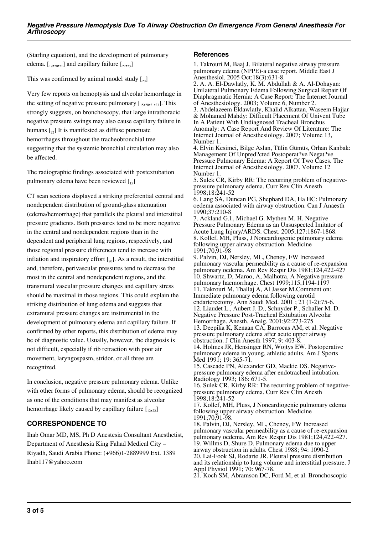(Starling equation), and the development of pulmonary edema.  $\begin{bmatrix} 1_{9,20,21} \end{bmatrix}$  and capillary failure  $\begin{bmatrix} 2_{2,23} \end{bmatrix}$ 

This was confirmed by animal model study  $\left[\begin{smallmatrix} 2 & 0 \\ 2 & 0 \end{smallmatrix}\right]$ 

Very few reports on hemoptysis and alveolar hemorrhage in the setting of negative pressure pulmonary  $[1522022122]$ . This strongly suggests, on bronchoscopy, that large intrathoracic negative pressure swings may also cause capillary failure in humans  $\left[\right]$  It is manifested as diffuse punctuate hemorrhages throughout the tracheobronchial tree suggesting that the systemic bronchial circulation may also be affected.

The radiographic findings associated with postextubation pulmonary edema have been reviewed  $\begin{bmatrix} 1 & 1 \\ 1 & 5 \end{bmatrix}$ 

CT scan sections displayed a striking preferential central and nondependent distribution of ground-glass attenuation (edema/hemorrhage) that parallels the pleural and interstitial pressure gradients. Both pressures tend to be more negative in the central and nondependent regions than in the dependent and peripheral lung regions, respectively, and those regional pressure differences tend to increase with inflation and inspiratory effort  $\left[\begin{smallmatrix} 2 & 0 \end{smallmatrix}\right]$ . As a result, the interstitial and, therefore, perivascular pressures tend to decrease the most in the central and nondependent regions, and the transmural vascular pressure changes and capillary stress should be maximal in those regions. This could explain the striking distribution of lung edema and suggests that extramural pressure changes are instrumental in the development of pulmonary edema and capillary failure. If confirmed by other reports, this distribution of edema may be of diagnostic value. Usually, however, the diagnosis is not difficult, especially if rib retraction with poor air movement, laryngospasm, stridor, or all three are recognized.

In conclusion, negative pressure pulmonary edema. Unlike with other forms of pulmonary edema, should be recognized as one of the conditions that may manifest as alveolar hemorrhage likely caused by capillary failure  $\begin{bmatrix} 1 & 2 & 22 \\ 2 & 2 & 2 \end{bmatrix}$ 

# **CORRESPONDENCE TO**

Ihab Omar MD, MS, Ph D Anestesia Consultant Anesthetist, Department of Anesthesia King Fahad Medical City – Riyadh, Saudi Arabia Phone: (+966)1-2889999 Ext. 1389 Ihab117@yahoo.com

### **References**

1. Takrouri M, Baaj J. Bilateral negative airway pressure pulmonary edema (NPPE)-a case report. Middle East J Anesthesiol. 2005 Oct;18(3):631-8.

2. A. A. El-Dawlatly, K. M. Abdullah & A. Al-Dohayan: Unilateral Pulmonary Edema Following Surgical Repair Of Diaphragmatic Hernia: A Case Report: The Internet Journal of Anesthesiology. 2003; Volume 6, Number 2.

3. Abdelazeem Eldawlatly, Khalid Alkattan, Waseem Hajjar & Mohamed Mahdy: Difficult Placement Of Univent Tube In A Patient With Undiagnosed Tracheal Bronchus Anomaly: A Case Report And Review Of Literature: The Internet Journal of Anesthesiology. 2007; Volume 13, Number 1.

4. Elvin Kesimci, Bilge Aslan, Tülin Gümüs, Orhan Kanbak: Management Of Unpred?cted Postoperat?ve Negat?ve Pressure Pulmonary Edema: A Report Of Two Cases. The Internet Journal of Anesthesiology. 2007. Volume 12 Number 1.

5. Sulek CR, Kirby RR: The recurring problem of negativepressure pulmonary edema. Curr Rev Clin Anesth 1998;18:241-52

6. Lang SA, Duncan PG, Shephard DA, Ha HC: Pulmonary oedema associated with airway obstruction. Can J Anaesth 1990;37:210-8

7. Ackland G.l., Michael G. Mythen M. H. Negative Pressure Pulmonary Edema as an Unsuspected Imitator of Acute Lung Injury/ARDS. Chest. 2005;127:1867-1868. 8. Kollef, MH, Pluss, J Noncardiogenic pulmonary edema following upper airway obstruction. Medicine 1991;70,91-98

9. Palvin, DJ, Nersley, ML, Cheney, FW Increased pulmonary vascular permeability as a cause of re-expansion pulmonary oedema. Am Rev Respir Dis 1981;124,422-427 10. Shwartz, D, Maroo, A, Malhotra, A Negative pressure pulmonary haemorrhage. Chest 1999;115,1194-1197 11. Takrouri M, Thallaj A, Al Jasser M.Comment on: Immediate pulmonary edema following carotid endarterectomy. Ann Saudi Med. 2001 ; 21 (1-2):75-6. 12. Liaudet L., Aubert J. D., Schnyder P., Schaller M. D. Negative Pressure Post-Tracheal Extubation Alveolar Hemorrhage. Anesth. Analg. 2001;92:273-275 13. Deepika K, Kenaan CA, Barrocas AM, et al. Negative pressure pulmonary edema after acute upper airway obstruction. J Clin Anesth 1997; 9: 403-8. 14. Holmes JR, Hensinger RN, Wojtys EW. Postoperative

pulmonary edema in young, athletic adults. Am J Sports Med 1991; 19: 365-71.

15. Cascade PN, Alexander GD, Mackie DS. Negativepressure pulmonary edema after endotracheal intubation. Radiology 1993; 186: 671-5.

16. Sulek CR, Kirby RR: The recurring problem of negativepressure pulmonary edema. Curr Rev Clin Anesth 1998;18:241-52

17. Kollef, MH, Pluss, J Noncardiogenic pulmonary edema following upper airway obstruction. Medicine 1991;70,91-98.

18. Palvin, DJ, Nersley, ML, Cheney, FW Increased pulmonary vascular permeability as a cause of re-expansion pulmonary oedema. Am Rev Respir Dis 1981;124,422-427. 19. Willms D, Shure D. Pulmonary edema due to upper airway obstruction in adults. Chest 1988; 94: 1090-2 20. Lai-Fook SJ, Rodarte JR. Pleural pressure distribution and its relationship to lung volume and interstitial pressure. J Appl Physiol 1991; 70: 967-78.

21. Koch SM, Abramson DC, Ford M, et al. Bronchoscopic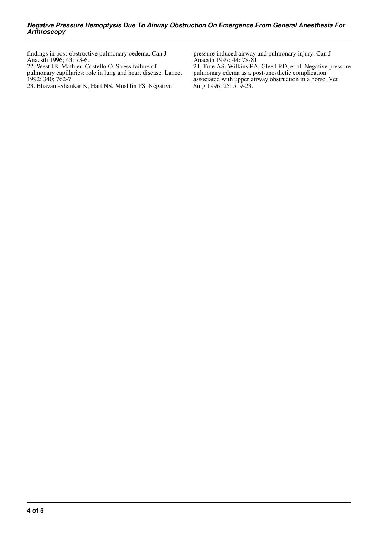findings in post-obstructive pulmonary oedema. Can J Anaesth 1996; 43: 73-6.

22. West JB, Mathieu-Costello O. Stress failure of

pulmonary capillaries: role in lung and heart disease. Lancet 1992; 340: 762-7

23. Bhavani-Shankar K, Hart NS, Mushlin PS. Negative

pressure induced airway and pulmonary injury. Can J Anaesth 1997; 44: 78-81.

24. Tute AS, Wilkins PA, Gleed RD, et al. Negative pressure pulmonary edema as a post-anesthetic complication associated with upper airway obstruction in a horse. Vet Surg 1996; 25: 519-23.